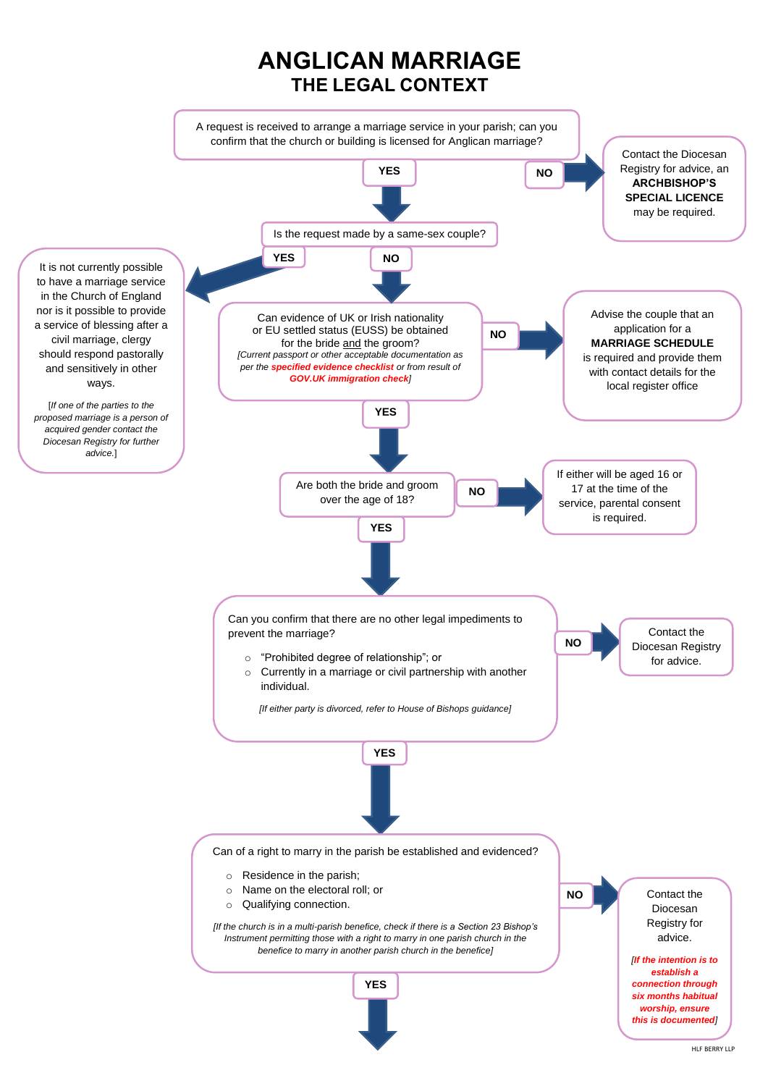HLF BERRY LLP

**NO**





Contact the Diocesan Registry for advice. *[If the intention is to establish a connection through six months habitual worship, ensure this is documented]*

Can of a right to marry in the parish be established and evidenced?

- o Residence in the parish;
- o Name on the electoral roll; or
- o Qualifying connection.

*[If the church is in a multi-parish benefice, check if there is a Section 23 Bishop's Instrument permitting those with a right to marry in one parish church in the benefice to marry in another parish church in the benefice]*

## **ANGLICAN MARRIAGE THE LEGAL CONTEXT**